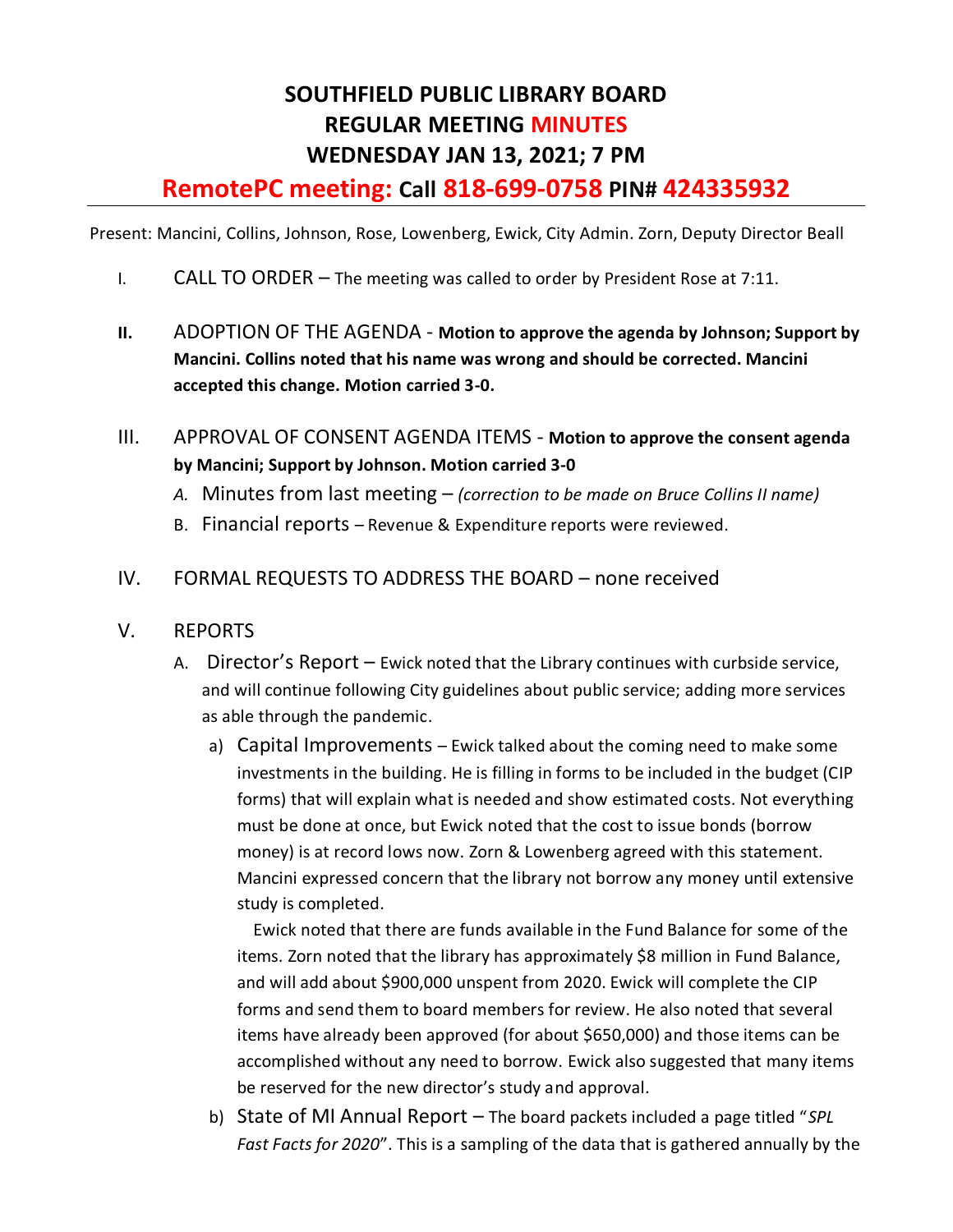# **SOUTHFIELD PUBLIC LIBRARY BOARD REGULAR MEETING MINUTES WEDNESDAY JAN 13, 2021; 7 PM**

## **RemotePC meeting: Call 818-699-0758 PIN# 424335932**

Present: Mancini, Collins, Johnson, Rose, Lowenberg, Ewick, City Admin. Zorn, Deputy Director Beall

- I. CALL TO ORDER The meeting was called to order by President Rose at 7:11.
- **II.** ADOPTION OF THE AGENDA **Motion to approve the agenda by Johnson; Support by Mancini. Collins noted that his name was wrong and should be corrected. Mancini accepted this change. Motion carried 3-0.**
- III. APPROVAL OF CONSENT AGENDA ITEMS **Motion to approve the consent agenda by Mancini; Support by Johnson. Motion carried 3-0** 
	- *A.* Minutes from last meeting *(correction to be made on Bruce Collins II name)*
	- B. Financial reports Revenue & Expenditure reports were reviewed.
- IV. FORMAL REQUESTS TO ADDRESS THE BOARD none received

#### V. REPORTS

- A. Director's Report Ewick noted that the Library continues with curbside service, and will continue following City guidelines about public service; adding more services as able through the pandemic.
	- a) Capital Improvements Ewick talked about the coming need to make some investments in the building. He is filling in forms to be included in the budget (CIP forms) that will explain what is needed and show estimated costs. Not everything must be done at once, but Ewick noted that the cost to issue bonds (borrow money) is at record lows now. Zorn & Lowenberg agreed with this statement. Mancini expressed concern that the library not borrow any money until extensive study is completed.

 Ewick noted that there are funds available in the Fund Balance for some of the items. Zorn noted that the library has approximately \$8 million in Fund Balance, and will add about \$900,000 unspent from 2020. Ewick will complete the CIP forms and send them to board members for review. He also noted that several items have already been approved (for about \$650,000) and those items can be accomplished without any need to borrow. Ewick also suggested that many items be reserved for the new director's study and approval.

b) State of MI Annual Report – The board packets included a page titled "*SPL Fast Facts for 2020*". This is a sampling of the data that is gathered annually by the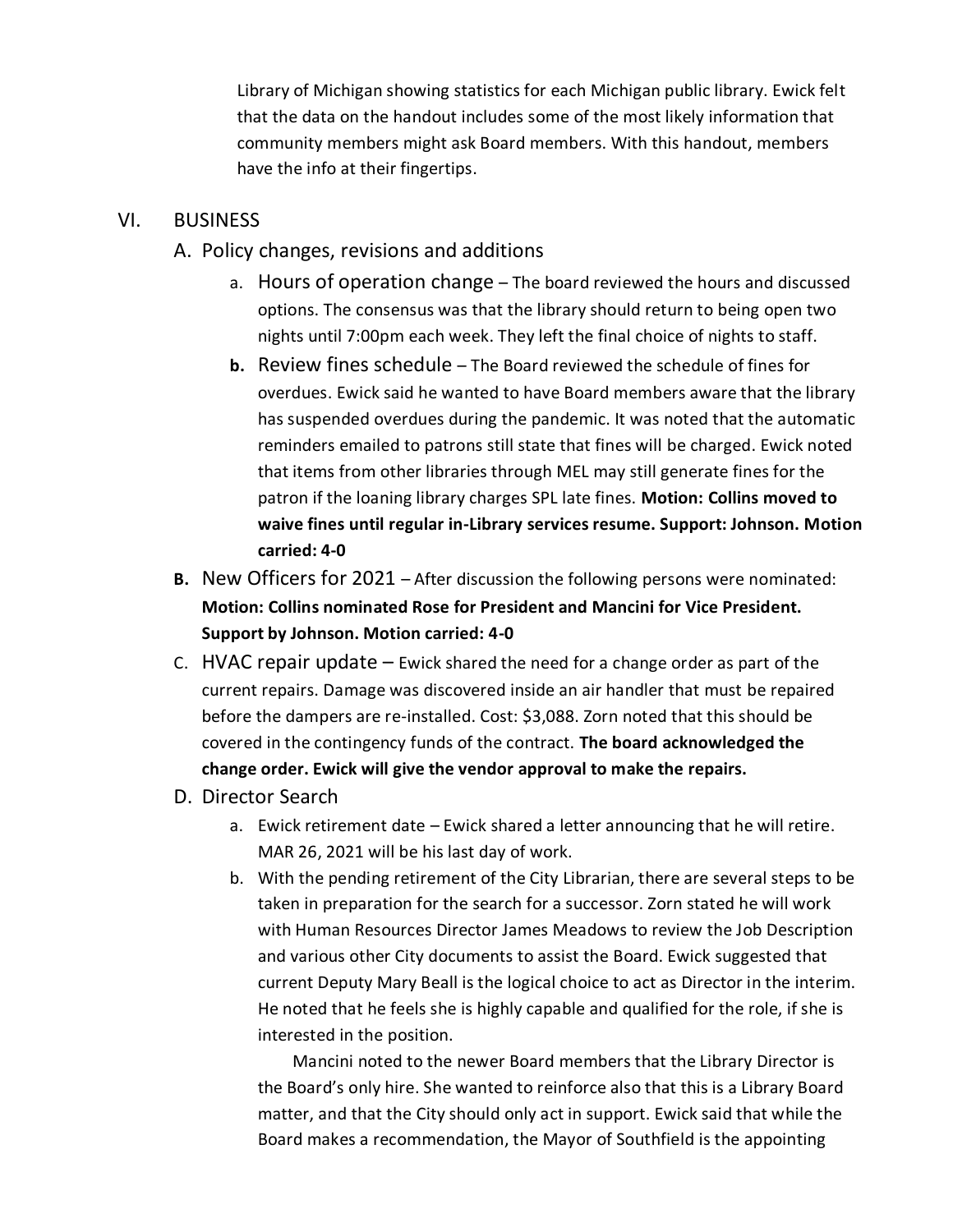Library of Michigan showing statistics for each Michigan public library. Ewick felt that the data on the handout includes some of the most likely information that community members might ask Board members. With this handout, members have the info at their fingertips.

#### VI. BUSINESS

- A. Policy changes, revisions and additions
	- a. Hours of operation change The board reviewed the hours and discussed options. The consensus was that the library should return to being open two nights until 7:00pm each week. They left the final choice of nights to staff.
	- **b.** Review fines schedule The Board reviewed the schedule of fines for overdues. Ewick said he wanted to have Board members aware that the library has suspended overdues during the pandemic. It was noted that the automatic reminders emailed to patrons still state that fines will be charged. Ewick noted that items from other libraries through MEL may still generate fines for the patron if the loaning library charges SPL late fines. **Motion: Collins moved to waive fines until regular in-Library services resume. Support: Johnson. Motion carried: 4-0**
- **B.** New Officers for 2021 After discussion the following persons were nominated: **Motion: Collins nominated Rose for President and Mancini for Vice President. Support by Johnson. Motion carried: 4-0**
- C. HVAC repair update  $-$  Ewick shared the need for a change order as part of the current repairs. Damage was discovered inside an air handler that must be repaired before the dampers are re-installed. Cost: \$3,088. Zorn noted that this should be covered in the contingency funds of the contract. **The board acknowledged the change order. Ewick will give the vendor approval to make the repairs.**
- D. Director Search
	- a. Ewick retirement date Ewick shared a letter announcing that he will retire. MAR 26, 2021 will be his last day of work.
	- b. With the pending retirement of the City Librarian, there are several steps to be taken in preparation for the search for a successor. Zorn stated he will work with Human Resources Director James Meadows to review the Job Description and various other City documents to assist the Board. Ewick suggested that current Deputy Mary Beall is the logical choice to act as Director in the interim. He noted that he feels she is highly capable and qualified for the role, if she is interested in the position.

 Mancini noted to the newer Board members that the Library Director is the Board's only hire. She wanted to reinforce also that this is a Library Board matter, and that the City should only act in support. Ewick said that while the Board makes a recommendation, the Mayor of Southfield is the appointing